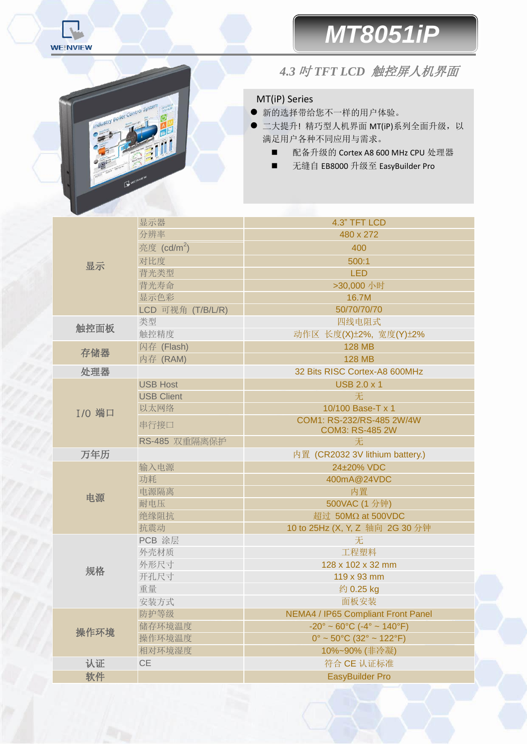

Industry

# *MT8051iP*

### *4.3* <sup>吋</sup> *TFT LCD* 触控屏 人机界面

#### MT(iP) Series

- 新的选择带给您不一样的用户体验。
- 二大提升! 精巧型人机界面 MT(iP)系列全面升级, 以 满足用户各种不同应用与需求。
	- 配备升级的 Cortex A8 600 MHz CPU 处理器
	- 无缝自 EB8000 升级至 EasyBuilder Pro

| 显示            | 显示器                     | 4.3" TFT LCD                                                       |  |  |  |
|---------------|-------------------------|--------------------------------------------------------------------|--|--|--|
|               | 分辨率                     | 480 x 272                                                          |  |  |  |
|               | 亮度 (cd/m <sup>2</sup> ) | 400                                                                |  |  |  |
|               | 对比度                     | 500:1                                                              |  |  |  |
|               | 背光类型                    | <b>LED</b>                                                         |  |  |  |
|               | 背光寿命                    | >30,000 小时                                                         |  |  |  |
|               | 显示色彩                    | 16.7M                                                              |  |  |  |
|               | LCD 可视角 (T/B/L/R)       | 50/70/70/70                                                        |  |  |  |
| 触控面板          | 类型                      | 四线电阻式                                                              |  |  |  |
|               | 触控精度                    | 动作区 长度(X)±2%, 宽度(Y)±2%                                             |  |  |  |
| 存储器           | 闪存 (Flash)              | <b>128 MB</b>                                                      |  |  |  |
|               | 内存 (RAM)                | <b>128 MB</b>                                                      |  |  |  |
| 处理器           |                         | 32 Bits RISC Cortex-A8 600MHz                                      |  |  |  |
|               | <b>USB Host</b>         | <b>USB 2.0 x 1</b>                                                 |  |  |  |
|               | <b>USB Client</b>       | 无                                                                  |  |  |  |
| <b>I/O 端口</b> | 以太网络                    | 10/100 Base-T x 1                                                  |  |  |  |
|               | 串行接口                    | COM1: RS-232/RS-485 2W/4W<br><b>COM3: RS-485 2W</b>                |  |  |  |
|               | RS-485 双重隔离保护           | 无                                                                  |  |  |  |
| 万年历           |                         | 内置 (CR2032 3V lithium battery.)                                    |  |  |  |
| 电源            | 输入电源                    | 24±20% VDC                                                         |  |  |  |
|               | 功耗                      | 400mA@24VDC                                                        |  |  |  |
|               | 电源隔离                    | 内置                                                                 |  |  |  |
|               | 耐电压                     | 500VAC (1 分钟)                                                      |  |  |  |
|               | 绝缘阻抗                    | 超过 50MΩ at 500VDC                                                  |  |  |  |
|               | 抗震动                     | 10 to 25Hz (X, Y, Z 轴向 2G 30 分钟                                    |  |  |  |
| 规格            | PCB 涂层                  | 无                                                                  |  |  |  |
|               | 外壳材质                    | 工程塑料                                                               |  |  |  |
|               | 外形尺寸                    | 128 x 102 x 32 mm                                                  |  |  |  |
|               | 开孔尺寸                    | 119 x 93 mm                                                        |  |  |  |
|               | 重量                      | 约 0.25 kg                                                          |  |  |  |
|               | 安装方式                    | 面板安装                                                               |  |  |  |
| 操作环境          | 防护等级                    | <b>NEMA4 / IP65 Compliant Front Panel</b>                          |  |  |  |
|               | 储存环境温度                  | $-20^{\circ} \sim 60^{\circ}$ C ( $-4^{\circ} \sim 140^{\circ}$ F) |  |  |  |
|               | 操作环境温度                  | $0^{\circ}$ ~ 50 $^{\circ}$ C (32 $^{\circ}$ ~ 122 $^{\circ}$ F)   |  |  |  |
|               | 相对环境湿度                  | 10%~90% (非冷凝)                                                      |  |  |  |
| 认证            | CE                      | 符合 CE 认证标准                                                         |  |  |  |
| 软件            |                         | <b>EasyBuilder Pro</b>                                             |  |  |  |